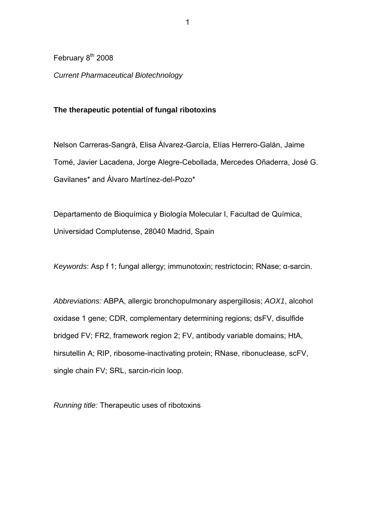February  $8<sup>th</sup>$  2008

*Current Pharmaceutical Biotechnology* 

# **The therapeutic potential of fungal ribotoxins**

Nelson Carreras-Sangrà, Elisa Álvarez-García, Elías Herrero-Galán, Jaime Tomé, Javier Lacadena, Jorge Alegre-Cebollada, Mercedes Oñaderra, José G. Gavilanes\* and Álvaro Martínez-del-Pozo\*

Departamento de Bioquímica y Biología Molecular I, Facultad de Química, Universidad Complutense, 28040 Madrid, Spain

*Keywords*: Asp f 1; fungal allergy; immunotoxin; restrictocin; RNase; α-sarcin.

*Abbreviations:* ABPA, allergic bronchopulmonary aspergillosis; *AOX1*, alcohol oxidase 1 gene; CDR, complementary determining regions; dsFV, disulfide bridged FV; FR2, framework region 2; FV, antibody variable domains; HtA, hirsutellin A; RIP, ribosome-inactivating protein; RNase, ribonuclease, scFV, single chain FV; SRL, sarcin-ricin loop.

*Running title:* Therapeutic uses of ribotoxins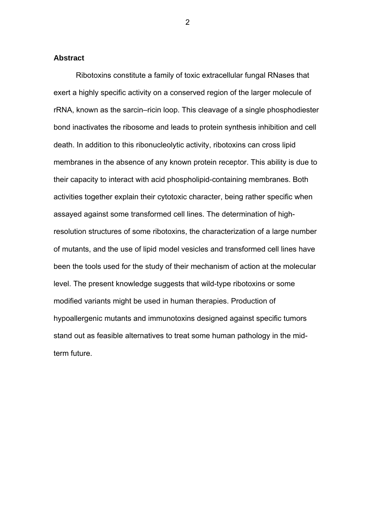#### **Abstract**

Ribotoxins constitute a family of toxic extracellular fungal RNases that exert a highly specific activity on a conserved region of the larger molecule of rRNA, known as the sarcin–ricin loop. This cleavage of a single phosphodiester bond inactivates the ribosome and leads to protein synthesis inhibition and cell death. In addition to this ribonucleolytic activity, ribotoxins can cross lipid membranes in the absence of any known protein receptor. This ability is due to their capacity to interact with acid phospholipid-containing membranes. Both activities together explain their cytotoxic character, being rather specific when assayed against some transformed cell lines. The determination of highresolution structures of some ribotoxins, the characterization of a large number of mutants, and the use of lipid model vesicles and transformed cell lines have been the tools used for the study of their mechanism of action at the molecular level. The present knowledge suggests that wild-type ribotoxins or some modified variants might be used in human therapies. Production of hypoallergenic mutants and immunotoxins designed against specific tumors stand out as feasible alternatives to treat some human pathology in the midterm future.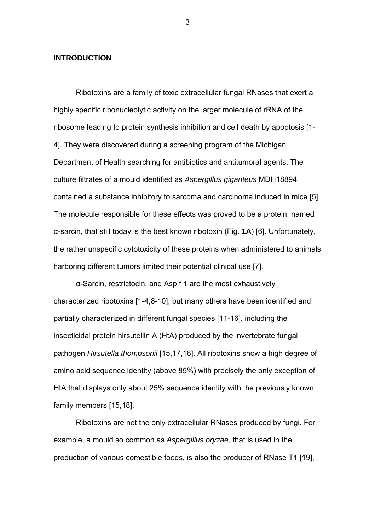#### **INTRODUCTION**

Ribotoxins are a family of toxic extracellular fungal RNases that exert a highly specific ribonucleolytic activity on the larger molecule of rRNA of the ribosome leading to protein synthesis inhibition and cell death by apoptosis [1- 4]. They were discovered during a screening program of the Michigan Department of Health searching for antibiotics and antitumoral agents. The culture filtrates of a mould identified as *Aspergillus giganteus* MDH18894 contained a substance inhibitory to sarcoma and carcinoma induced in mice [5]. The molecule responsible for these effects was proved to be a protein, named α-sarcin, that still today is the best known ribotoxin (Fig. **1A**) [6]. Unfortunately, the rather unspecific cytotoxicity of these proteins when administered to animals harboring different tumors limited their potential clinical use [7].

α-Sarcin, restrictocin, and Asp f 1 are the most exhaustively characterized ribotoxins [1-4,8-10], but many others have been identified and partially characterized in different fungal species [11-16], including the insecticidal protein hirsutellin A (HtA) produced by the invertebrate fungal pathogen *Hirsutella thompsonii* [15,17,18]. All ribotoxins show a high degree of amino acid sequence identity (above 85%) with precisely the only exception of HtA that displays only about 25% sequence identity with the previously known family members [15,18].

Ribotoxins are not the only extracellular RNases produced by fungi. For example, a mould so common as *Aspergillus oryzae*, that is used in the production of various comestible foods, is also the producer of RNase T1 [19],

 $\sim$  3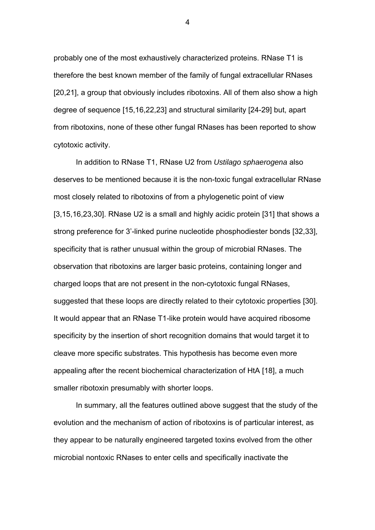probably one of the most exhaustively characterized proteins. RNase T1 is therefore the best known member of the family of fungal extracellular RNases [20,21], a group that obviously includes ribotoxins. All of them also show a high degree of sequence [15,16,22,23] and structural similarity [24-29] but, apart from ribotoxins, none of these other fungal RNases has been reported to show cytotoxic activity.

In addition to RNase T1, RNase U2 from *Ustilago sphaerogena* also deserves to be mentioned because it is the non-toxic fungal extracellular RNase most closely related to ribotoxins of from a phylogenetic point of view [3,15,16,23,30]. RNase U2 is a small and highly acidic protein [31] that shows a strong preference for 3'-linked purine nucleotide phosphodiester bonds [32,33], specificity that is rather unusual within the group of microbial RNases. The observation that ribotoxins are larger basic proteins, containing longer and charged loops that are not present in the non-cytotoxic fungal RNases, suggested that these loops are directly related to their cytotoxic properties [30]. It would appear that an RNase T1-like protein would have acquired ribosome specificity by the insertion of short recognition domains that would target it to cleave more specific substrates. This hypothesis has become even more appealing after the recent biochemical characterization of HtA [18], a much smaller ribotoxin presumably with shorter loops.

In summary, all the features outlined above suggest that the study of the evolution and the mechanism of action of ribotoxins is of particular interest, as they appear to be naturally engineered targeted toxins evolved from the other microbial nontoxic RNases to enter cells and specifically inactivate the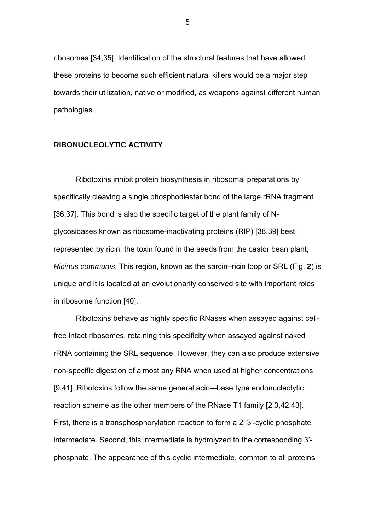ribosomes [34,35]. Identification of the structural features that have allowed these proteins to become such efficient natural killers would be a major step towards their utilization, native or modified, as weapons against different human pathologies.

## **RIBONUCLEOLYTIC ACTIVITY**

Ribotoxins inhibit protein biosynthesis in ribosomal preparations by specifically cleaving a single phosphodiester bond of the large rRNA fragment [36,37]. This bond is also the specific target of the plant family of Nglycosidases known as ribosome-inactivating proteins (RIP) [38,39] best represented by ricin, the toxin found in the seeds from the castor bean plant, *Ricinus communis*. This region, known as the sarcin–ricin loop or SRL (Fig. **2**) is unique and it is located at an evolutionarily conserved site with important roles in ribosome function [40].

Ribotoxins behave as highly specific RNases when assayed against cellfree intact ribosomes, retaining this specificity when assayed against naked rRNA containing the SRL sequence. However, they can also produce extensive non-specific digestion of almost any RNA when used at higher concentrations [9,41]. Ribotoxins follow the same general acid–-base type endonucleolytic reaction scheme as the other members of the RNase T1 family [2,3,42,43]. First, there is a transphosphorylation reaction to form a 2',3'-cyclic phosphate intermediate. Second, this intermediate is hydrolyzed to the corresponding 3' phosphate. The appearance of this cyclic intermediate, common to all proteins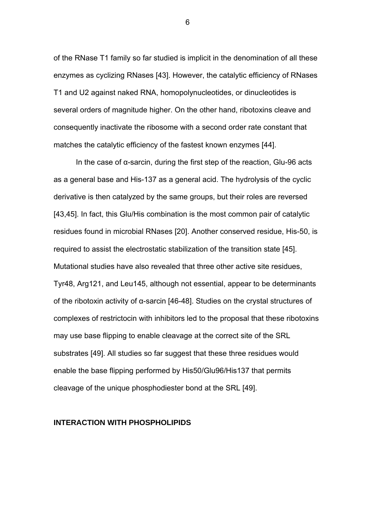of the RNase T1 family so far studied is implicit in the denomination of all these enzymes as cyclizing RNases [43]. However, the catalytic efficiency of RNases T1 and U2 against naked RNA, homopolynucleotides, or dinucleotides is several orders of magnitude higher. On the other hand, ribotoxins cleave and consequently inactivate the ribosome with a second order rate constant that matches the catalytic efficiency of the fastest known enzymes [44].

In the case of α-sarcin, during the first step of the reaction, Glu-96 acts as a general base and His-137 as a general acid. The hydrolysis of the cyclic derivative is then catalyzed by the same groups, but their roles are reversed [43,45]. In fact, this Glu/His combination is the most common pair of catalytic residues found in microbial RNases [20]. Another conserved residue, His-50, is required to assist the electrostatic stabilization of the transition state [45]. Mutational studies have also revealed that three other active site residues, Tyr48, Arg121, and Leu145, although not essential, appear to be determinants of the ribotoxin activity of α-sarcin [46-48]. Studies on the crystal structures of complexes of restrictocin with inhibitors led to the proposal that these ribotoxins may use base flipping to enable cleavage at the correct site of the SRL substrates [49]. All studies so far suggest that these three residues would enable the base flipping performed by His50/Glu96/His137 that permits cleavage of the unique phosphodiester bond at the SRL [49].

#### **INTERACTION WITH PHOSPHOLIPIDS**

 $\sim$  6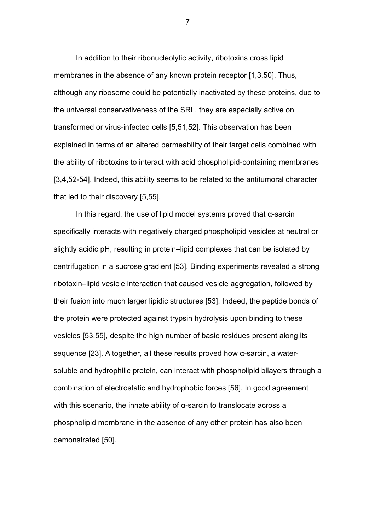In addition to their ribonucleolytic activity, ribotoxins cross lipid membranes in the absence of any known protein receptor [1,3,50]. Thus, although any ribosome could be potentially inactivated by these proteins, due to the universal conservativeness of the SRL, they are especially active on transformed or virus-infected cells [5,51,52]. This observation has been explained in terms of an altered permeability of their target cells combined with the ability of ribotoxins to interact with acid phospholipid-containing membranes [3,4,52-54]. Indeed, this ability seems to be related to the antitumoral character that led to their discovery [5,55].

In this regard, the use of lipid model systems proved that α-sarcin specifically interacts with negatively charged phospholipid vesicles at neutral or slightly acidic pH, resulting in protein–lipid complexes that can be isolated by centrifugation in a sucrose gradient [53]. Binding experiments revealed a strong ribotoxin–lipid vesicle interaction that caused vesicle aggregation, followed by their fusion into much larger lipidic structures [53]. Indeed, the peptide bonds of the protein were protected against trypsin hydrolysis upon binding to these vesicles [53,55], despite the high number of basic residues present along its sequence [23]. Altogether, all these results proved how α-sarcin, a watersoluble and hydrophilic protein, can interact with phospholipid bilayers through a combination of electrostatic and hydrophobic forces [56]. In good agreement with this scenario, the innate ability of  $\alpha$ -sarcin to translocate across a phospholipid membrane in the absence of any other protein has also been demonstrated [50].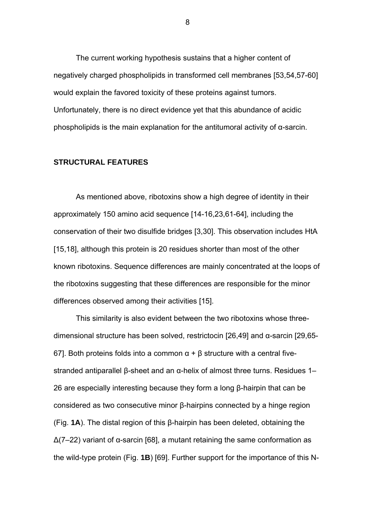The current working hypothesis sustains that a higher content of negatively charged phospholipids in transformed cell membranes [53,54,57-60] would explain the favored toxicity of these proteins against tumors. Unfortunately, there is no direct evidence yet that this abundance of acidic phospholipids is the main explanation for the antitumoral activity of α-sarcin.

#### **STRUCTURAL FEATURES**

As mentioned above, ribotoxins show a high degree of identity in their approximately 150 amino acid sequence [14-16,23,61-64], including the conservation of their two disulfide bridges [3,30]. This observation includes HtA [15,18], although this protein is 20 residues shorter than most of the other known ribotoxins. Sequence differences are mainly concentrated at the loops of the ribotoxins suggesting that these differences are responsible for the minor differences observed among their activities [15].

This similarity is also evident between the two ribotoxins whose threedimensional structure has been solved, restrictocin [26,49] and α-sarcin [29,65- 67]. Both proteins folds into a common  $\alpha + \beta$  structure with a central fivestranded antiparallel β-sheet and an α-helix of almost three turns. Residues 1– 26 are especially interesting because they form a long β-hairpin that can be considered as two consecutive minor β-hairpins connected by a hinge region (Fig. **1A**). The distal region of this β-hairpin has been deleted, obtaining the Δ(7–22) variant of α-sarcin [68], a mutant retaining the same conformation as the wild-type protein (Fig. **1B**) [69]. Further support for the importance of this N-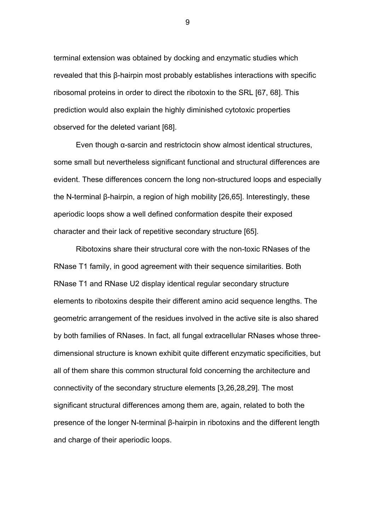terminal extension was obtained by docking and enzymatic studies which revealed that this β-hairpin most probably establishes interactions with specific ribosomal proteins in order to direct the ribotoxin to the SRL [67, 68]. This prediction would also explain the highly diminished cytotoxic properties observed for the deleted variant [68].

Even though α-sarcin and restrictocin show almost identical structures, some small but nevertheless significant functional and structural differences are evident. These differences concern the long non-structured loops and especially the N-terminal β-hairpin, a region of high mobility [26,65]. Interestingly, these aperiodic loops show a well defined conformation despite their exposed character and their lack of repetitive secondary structure [65].

Ribotoxins share their structural core with the non-toxic RNases of the RNase T1 family, in good agreement with their sequence similarities. Both RNase T1 and RNase U2 display identical regular secondary structure elements to ribotoxins despite their different amino acid sequence lengths. The geometric arrangement of the residues involved in the active site is also shared by both families of RNases. In fact, all fungal extracellular RNases whose threedimensional structure is known exhibit quite different enzymatic specificities, but all of them share this common structural fold concerning the architecture and connectivity of the secondary structure elements [3,26,28,29]. The most significant structural differences among them are, again, related to both the presence of the longer N-terminal β-hairpin in ribotoxins and the different length and charge of their aperiodic loops.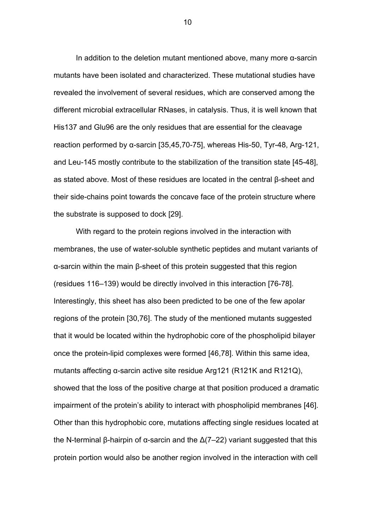In addition to the deletion mutant mentioned above, many more α-sarcin mutants have been isolated and characterized. These mutational studies have revealed the involvement of several residues, which are conserved among the different microbial extracellular RNases, in catalysis. Thus, it is well known that His137 and Glu96 are the only residues that are essential for the cleavage reaction performed by α-sarcin [35,45,70-75], whereas His-50, Tyr-48, Arg-121, and Leu-145 mostly contribute to the stabilization of the transition state [45-48], as stated above. Most of these residues are located in the central β-sheet and their side-chains point towards the concave face of the protein structure where the substrate is supposed to dock [29].

With regard to the protein regions involved in the interaction with membranes, the use of water-soluble synthetic peptides and mutant variants of α-sarcin within the main β-sheet of this protein suggested that this region (residues 116–139) would be directly involved in this interaction [76-78]. Interestingly, this sheet has also been predicted to be one of the few apolar regions of the protein [30,76]. The study of the mentioned mutants suggested that it would be located within the hydrophobic core of the phospholipid bilayer once the protein-lipid complexes were formed [46,78]. Within this same idea, mutants affecting α-sarcin active site residue Arg121 (R121K and R121Q), showed that the loss of the positive charge at that position produced a dramatic impairment of the protein's ability to interact with phospholipid membranes [46]. Other than this hydrophobic core, mutations affecting single residues located at the N-terminal β-hairpin of α-sarcin and the  $Δ(7–22)$  variant suggested that this protein portion would also be another region involved in the interaction with cell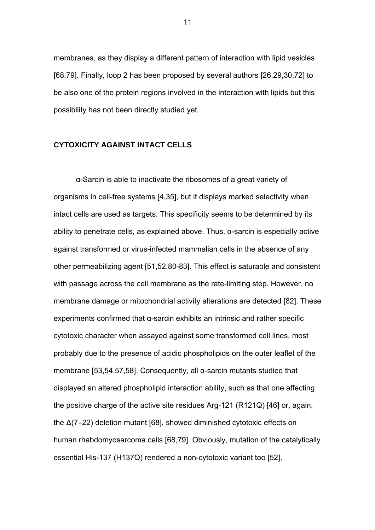membranes, as they display a different pattern of interaction with lipid vesicles [68,79]. Finally, loop 2 has been proposed by several authors [26,29,30,72] to be also one of the protein regions involved in the interaction with lipids but this possibility has not been directly studied yet.

## **CYTOXICITY AGAINST INTACT CELLS**

α-Sarcin is able to inactivate the ribosomes of a great variety of organisms in cell-free systems [4,35], but it displays marked selectivity when intact cells are used as targets. This specificity seems to be determined by its ability to penetrate cells, as explained above. Thus,  $\alpha$ -sarcin is especially active against transformed or virus-infected mammalian cells in the absence of any other permeabilizing agent [51,52,80-83]. This effect is saturable and consistent with passage across the cell membrane as the rate-limiting step. However, no membrane damage or mitochondrial activity alterations are detected [82]. These experiments confirmed that α-sarcin exhibits an intrinsic and rather specific cytotoxic character when assayed against some transformed cell lines, most probably due to the presence of acidic phospholipids on the outer leaflet of the membrane [53,54,57,58]. Consequently, all α-sarcin mutants studied that displayed an altered phospholipid interaction ability, such as that one affecting the positive charge of the active site residues Arg-121 (R121Q) [46] or, again, the Δ(7–22) deletion mutant [68], showed diminished cytotoxic effects on human rhabdomyosarcoma cells [68,79]. Obviously, mutation of the catalytically essential His-137 (H137Q) rendered a non-cytotoxic variant too [52].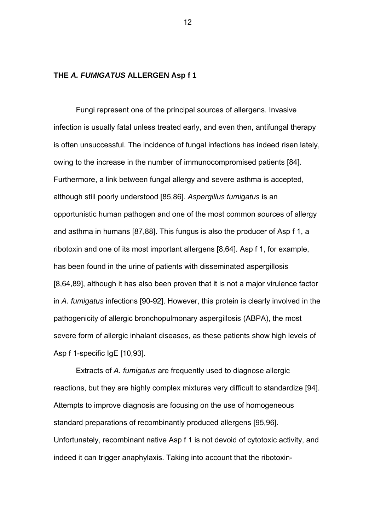## **THE** *A. FUMIGATUS* **ALLERGEN Asp f 1**

Fungi represent one of the principal sources of allergens. Invasive infection is usually fatal unless treated early, and even then, antifungal therapy is often unsuccessful. The incidence of fungal infections has indeed risen lately, owing to the increase in the number of immunocompromised patients [84]. Furthermore, a link between fungal allergy and severe asthma is accepted, although still poorly understood [85,86]. *Aspergillus fumigatus* is an opportunistic human pathogen and one of the most common sources of allergy and asthma in humans [87,88]. This fungus is also the producer of Asp f 1, a ribotoxin and one of its most important allergens [8,64]. Asp f 1, for example, has been found in the urine of patients with disseminated aspergillosis [8,64,89], although it has also been proven that it is not a major virulence factor in *A. fumigatus* infections [90-92]. However, this protein is clearly involved in the pathogenicity of allergic bronchopulmonary aspergillosis (ABPA), the most severe form of allergic inhalant diseases, as these patients show high levels of Asp f 1-specific IgE [10,93].

Extracts of *A. fumigatus* are frequently used to diagnose allergic reactions, but they are highly complex mixtures very difficult to standardize [94]. Attempts to improve diagnosis are focusing on the use of homogeneous standard preparations of recombinantly produced allergens [95,96]. Unfortunately, recombinant native Asp f 1 is not devoid of cytotoxic activity, and indeed it can trigger anaphylaxis. Taking into account that the ribotoxin-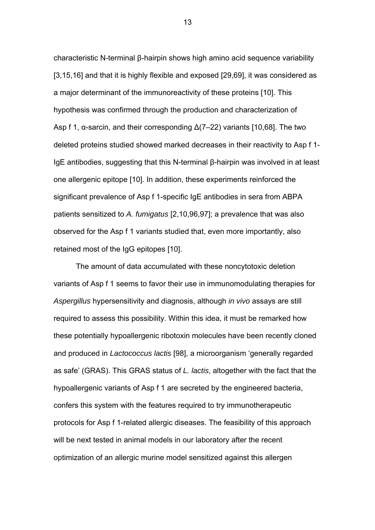characteristic N-terminal β-hairpin shows high amino acid sequence variability [3,15,16] and that it is highly flexible and exposed [29,69], it was considered as a major determinant of the immunoreactivity of these proteins [10]. This hypothesis was confirmed through the production and characterization of Asp f 1,  $\alpha$ -sarcin, and their corresponding  $\Delta(7-22)$  variants [10,68]. The two deleted proteins studied showed marked decreases in their reactivity to Asp f 1- IgE antibodies, suggesting that this N-terminal β-hairpin was involved in at least one allergenic epitope [10]. In addition, these experiments reinforced the significant prevalence of Asp f 1-specific IgE antibodies in sera from ABPA patients sensitized to *A. fumigatus* [2,10,96,97]; a prevalence that was also observed for the Asp f 1 variants studied that, even more importantly, also retained most of the IgG epitopes [10].

The amount of data accumulated with these noncytotoxic deletion variants of Asp f 1 seems to favor their use in immunomodulating therapies for *Aspergillus* hypersensitivity and diagnosis, although *in vivo* assays are still required to assess this possibility. Within this idea, it must be remarked how these potentially hypoallergenic ribotoxin molecules have been recently cloned and produced in *Lactococcus lactis* [98], a microorganism 'generally regarded as safe' (GRAS). This GRAS status of *L. lactis*, altogether with the fact that the hypoallergenic variants of Asp f 1 are secreted by the engineered bacteria, confers this system with the features required to try immunotherapeutic protocols for Asp f 1-related allergic diseases. The feasibility of this approach will be next tested in animal models in our laboratory after the recent optimization of an allergic murine model sensitized against this allergen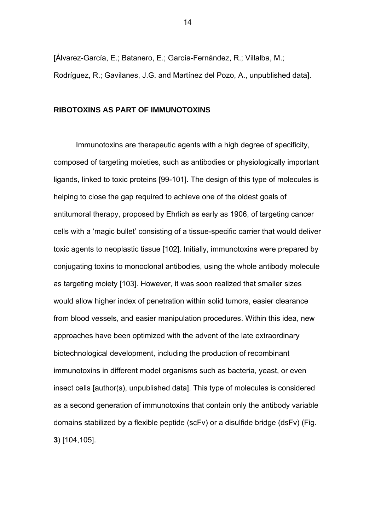[Álvarez-García, E.; Batanero, E.; García-Fernández, R.; Villalba, M.; Rodríguez, R.; Gavilanes, J.G. and Martínez del Pozo, A., unpublished data].

### **RIBOTOXINS AS PART OF IMMUNOTOXINS**

Immunotoxins are therapeutic agents with a high degree of specificity, composed of targeting moieties, such as antibodies or physiologically important ligands, linked to toxic proteins [99-101]. The design of this type of molecules is helping to close the gap required to achieve one of the oldest goals of antitumoral therapy, proposed by Ehrlich as early as 1906, of targeting cancer cells with a 'magic bullet' consisting of a tissue-specific carrier that would deliver toxic agents to neoplastic tissue [102]. Initially, immunotoxins were prepared by conjugating toxins to monoclonal antibodies, using the whole antibody molecule as targeting moiety [103]. However, it was soon realized that smaller sizes would allow higher index of penetration within solid tumors, easier clearance from blood vessels, and easier manipulation procedures. Within this idea, new approaches have been optimized with the advent of the late extraordinary biotechnological development, including the production of recombinant immunotoxins in different model organisms such as bacteria, yeast, or even insect cells [author(s), unpublished data]. This type of molecules is considered as a second generation of immunotoxins that contain only the antibody variable domains stabilized by a flexible peptide (scFv) or a disulfide bridge (dsFv) (Fig. **3**) [104,105].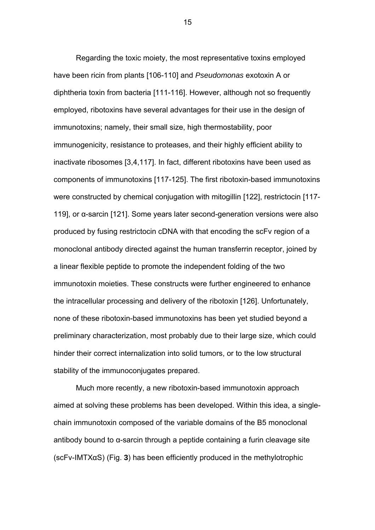Regarding the toxic moiety, the most representative toxins employed have been ricin from plants [106-110] and *Pseudomonas* exotoxin A or diphtheria toxin from bacteria [111-116]. However, although not so frequently employed, ribotoxins have several advantages for their use in the design of immunotoxins; namely, their small size, high thermostability, poor immunogenicity, resistance to proteases, and their highly efficient ability to inactivate ribosomes [3,4,117]. In fact, different ribotoxins have been used as components of immunotoxins [117-125]. The first ribotoxin-based immunotoxins were constructed by chemical conjugation with mitogillin [122], restrictocin [117- 119], or α-sarcin [121]. Some years later second-generation versions were also produced by fusing restrictocin cDNA with that encoding the scFv region of a monoclonal antibody directed against the human transferrin receptor, joined by a linear flexible peptide to promote the independent folding of the two immunotoxin moieties. These constructs were further engineered to enhance the intracellular processing and delivery of the ribotoxin [126]. Unfortunately, none of these ribotoxin-based immunotoxins has been yet studied beyond a preliminary characterization, most probably due to their large size, which could hinder their correct internalization into solid tumors, or to the low structural stability of the immunoconjugates prepared.

Much more recently, a new ribotoxin-based immunotoxin approach aimed at solving these problems has been developed. Within this idea, a singlechain immunotoxin composed of the variable domains of the B5 monoclonal antibody bound to α-sarcin through a peptide containing a furin cleavage site (scFv-IMTXαS) (Fig. **3**) has been efficiently produced in the methylotrophic

<u>15 and 2001 and 2001 and 2001 and 2001 and 2001 and 2001 and 2001 and 2001 and 2001 and 2001 and 200</u>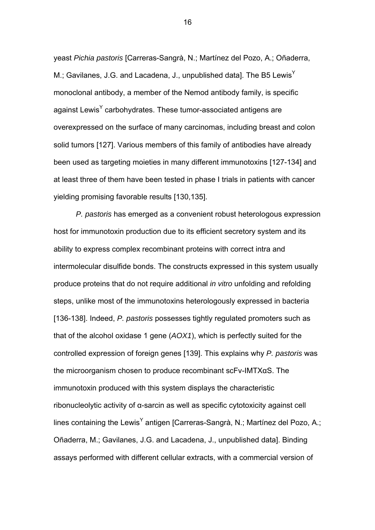yeast *Pichia pastoris* [Carreras-Sangrà, N.; Martínez del Pozo, A.; Oñaderra, M.; Gavilanes, J.G. and Lacadena, J., unpublished datal. The B5 Lewis<sup>Y</sup> monoclonal antibody, a member of the Nemod antibody family, is specific against Lewis<sup>Y</sup> carbohydrates. These tumor-associated antigens are overexpressed on the surface of many carcinomas, including breast and colon solid tumors [127]. Various members of this family of antibodies have already been used as targeting moieties in many different immunotoxins [127-134] and at least three of them have been tested in phase I trials in patients with cancer yielding promising favorable results [130,135].

*P. pastoris* has emerged as a convenient robust heterologous expression host for immunotoxin production due to its efficient secretory system and its ability to express complex recombinant proteins with correct intra and intermolecular disulfide bonds. The constructs expressed in this system usually produce proteins that do not require additional *in vitro* unfolding and refolding steps, unlike most of the immunotoxins heterologously expressed in bacteria [136-138]. Indeed, *P. pastoris* possesses tightly regulated promoters such as that of the alcohol oxidase 1 gene (*AOX1*), which is perfectly suited for the controlled expression of foreign genes [139]. This explains why *P. pastoris* was the microorganism chosen to produce recombinant scFv-IMTXαS. The immunotoxin produced with this system displays the characteristic ribonucleolytic activity of α-sarcin as well as specific cytotoxicity against cell lines containing the Lewis<sup>Y</sup> antigen [Carreras-Sangrà, N.; Martínez del Pozo, A.; Oñaderra, M.; Gavilanes, J.G. and Lacadena, J., unpublished data]. Binding assays performed with different cellular extracts, with a commercial version of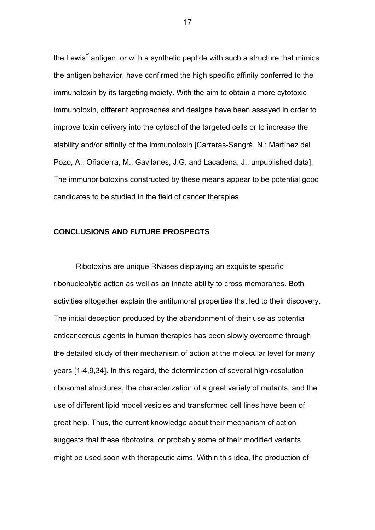the Lewis<sup>Y</sup> antigen, or with a synthetic peptide with such a structure that mimics the antigen behavior, have confirmed the high specific affinity conferred to the immunotoxin by its targeting moiety. With the aim to obtain a more cytotoxic immunotoxin, different approaches and designs have been assayed in order to improve toxin delivery into the cytosol of the targeted cells or to increase the stability and/or affinity of the immunotoxin [Carreras-Sangrà, N.; Martínez del Pozo, A.; Oñaderra, M.; Gavilanes, J.G. and Lacadena, J., unpublished data]. The immunoribotoxins constructed by these means appear to be potential good candidates to be studied in the field of cancer therapies.

## **CONCLUSIONS AND FUTURE PROSPECTS**

Ribotoxins are unique RNases displaying an exquisite specific ribonucleolytic action as well as an innate ability to cross membranes. Both activities altogether explain the antitumoral properties that led to their discovery. The initial deception produced by the abandonment of their use as potential anticancerous agents in human therapies has been slowly overcome through the detailed study of their mechanism of action at the molecular level for many years [1-4,9,34]. In this regard, the determination of several high-resolution ribosomal structures, the characterization of a great variety of mutants, and the use of different lipid model vesicles and transformed cell lines have been of great help. Thus, the current knowledge about their mechanism of action suggests that these ribotoxins, or probably some of their modified variants, might be used soon with therapeutic aims. Within this idea, the production of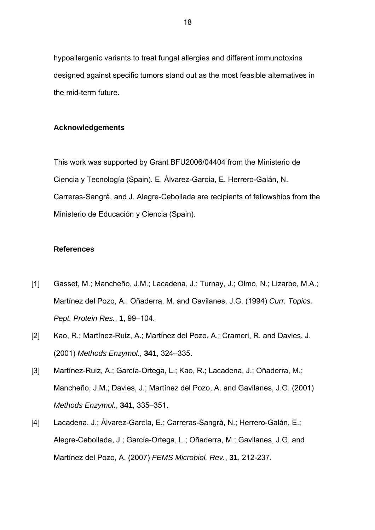hypoallergenic variants to treat fungal allergies and different immunotoxins designed against specific tumors stand out as the most feasible alternatives in the mid-term future.

### **Acknowledgements**

This work was supported by Grant BFU2006/04404 from the Ministerio de Ciencia y Tecnología (Spain). E. Álvarez-García, E. Herrero-Galán, N. Carreras-Sangrà, and J. Alegre-Cebollada are recipients of fellowships from the Ministerio de Educación y Ciencia (Spain).

#### **References**

- [1] Gasset, M.; Mancheño, J.M.; Lacadena, J.; Turnay, J.; Olmo, N.; Lizarbe, M.A.; Martínez del Pozo, A.; Oñaderra, M. and Gavilanes, J.G. (1994) *Curr. Topics. Pept. Protein Res.*, **1**, 99–104.
- [2] Kao, R.; Martínez-Ruiz, A.; Martínez del Pozo, A.; Crameri, R. and Davies, J. (2001) *Methods Enzymol*., **341**, 324–335.
- [3] Martínez-Ruiz, A.; García-Ortega, L.; Kao, R.; Lacadena, J.; Oñaderra, M.; Mancheño, J.M.; Davies, J.; Martínez del Pozo, A. and Gavilanes, J.G. (2001) *Methods Enzymol.*, **341**, 335–351.
- [4] Lacadena, J.; Álvarez-García, E.; Carreras-Sangrà, N.; Herrero-Galán, E.; Alegre-Cebollada, J.; García-Ortega, L.; Oñaderra, M.; Gavilanes, J.G. and Martínez del Pozo, A. (2007) *FEMS Microbiol. Rev.*, **31**, 212-237.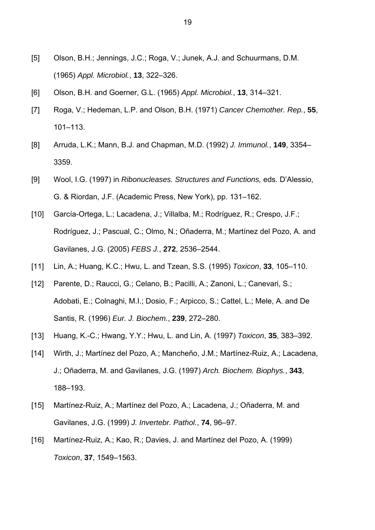- [5] Olson, B.H.; Jennings, J.C.; Roga, V.; Junek, A.J. and Schuurmans, D.M. (1965) *Appl. Microbiol.*, **13**, 322–326.
- [6] Olson, B.H. and Goerner, G.L. (1965) *Appl. Microbiol.*, **13**, 314–321.
- [7] Roga, V.; Hedeman, L.P. and Olson, B.H. (1971) *Cancer Chemother. Rep.*, **55**, 101–113.
- [8] Arruda, L.K.; Mann, B.J. and Chapman, M.D. (1992) *J. Immunol.*, **149**, 3354– 3359.
- [9] Wool, I.G. (1997) in *Ribonucleases. Structures and Functions,* eds. D'Alessio, G. & Riordan, J.F. (Academic Press, New York), pp. 131–162.
- [10] García-Ortega, L.; Lacadena, J.; Villalba, M.; Rodríguez, R.; Crespo, J.F.; Rodríguez, J.; Pascual, C.; Olmo, N.; Oñaderra, M.; Martínez del Pozo, A. and Gavilanes, J.G. (2005) *FEBS J.*, **272**, 2536–2544.
- [11] Lin, A.; Huang, K.C.; Hwu, L. and Tzean, S.S. (1995) *Toxicon*, **33**, 105–110.
- [12] Parente, D.; Raucci, G.; Celano, B.; Pacilli, A.; Zanoni, L.; Canevari, S.; Adobati, E.; Colnaghi, M.I.; Dosio, F.; Arpicco, S.; Cattel, L.; Mele, A. and De Santis, R. (1996) *Eur. J. Biochem.*, **239**, 272–280.
- [13] Huang, K.-C.; Hwang, Y.Y.; Hwu, L. and Lin, A. (1997) *Toxicon*, **35**, 383–392.
- [14] Wirth, J.; Martínez del Pozo, A.; Mancheño, J.M.; Martínez-Ruiz, A.; Lacadena, J.; Oñaderra, M. and Gavilanes, J.G. (1997) *Arch. Biochem. Biophys.*, **343**, 188–193.
- [15] Martínez-Ruiz, A.; Martínez del Pozo, A.; Lacadena, J.; Oñaderra, M. and Gavilanes, J.G. (1999) *J. Invertebr. Pathol.*, **74**, 96–97.
- [16] Martínez-Ruiz, A.; Kao, R.; Davies, J. and Martínez del Pozo, A. (1999) *Toxicon*, **37**, 1549–1563.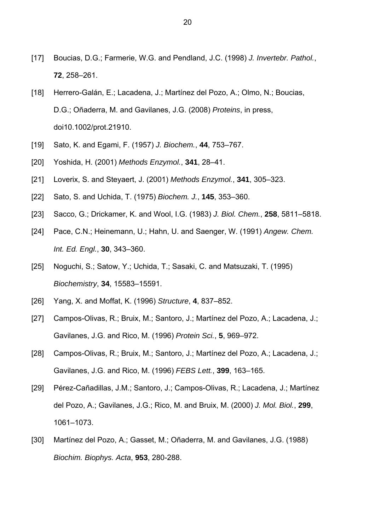- [17] Boucias, D.G.; Farmerie, W.G. and Pendland, J.C. (1998) *J. Invertebr. Pathol.*, **72**, 258–261.
- [18] Herrero-Galán, E.; Lacadena, J.; Martínez del Pozo, A.; Olmo, N.; Boucias, D.G.; Oñaderra, M. and Gavilanes, J.G. (2008) *Proteins*, in press, doi10.1002/prot.21910.
- [19] Sato, K. and Egami, F. (1957) *J. Biochem.*, **44**, 753–767.
- [20] Yoshida, H. (2001) *Methods Enzymol.*, **341**, 28–41.
- [21] Loverix, S. and Steyaert, J. (2001) *Methods Enzymol.*, **341**, 305–323.
- [22] Sato, S. and Uchida, T. (1975) *Biochem. J.*, **145**, 353–360.
- [23] Sacco, G.; Drickamer, K. and Wool, I.G. (1983) *J. Biol. Chem.*, **258**, 5811–5818.
- [24] Pace, C.N.; Heinemann, U.; Hahn, U. and Saenger, W. (1991) *Angew. Chem. Int. Ed. Engl.*, **30**, 343–360.
- [25] Noguchi, S.; Satow, Y.; Uchida, T.; Sasaki, C. and Matsuzaki, T. (1995) *Biochemistry*, **34**, 15583–15591.
- [26] Yang, X. and Moffat, K. (1996) *Structure*, **4**, 837–852.
- [27] Campos-Olivas, R.; Bruix, M.; Santoro, J.; Martínez del Pozo, A.; Lacadena, J.; Gavilanes, J.G. and Rico, M. (1996) *Protein Sci.*, **5**, 969–972.
- [28] Campos-Olivas, R.; Bruix, M.; Santoro, J.; Martínez del Pozo, A.; Lacadena, J.; Gavilanes, J.G. and Rico, M. (1996) *FEBS Lett.*, **399**, 163–165.
- [29] Pérez-Cañadillas, J.M.; Santoro, J.; Campos-Olivas, R.; Lacadena, J.; Martínez del Pozo, A.; Gavilanes, J.G.; Rico, M. and Bruix, M. (2000) *J. Mol. Biol.*, **299**, 1061–1073.
- [30] Martínez del Pozo, A.; Gasset, M.; Oñaderra, M. and Gavilanes, J.G. (1988) *Biochim. Biophys. Acta*, **953**, 280-288.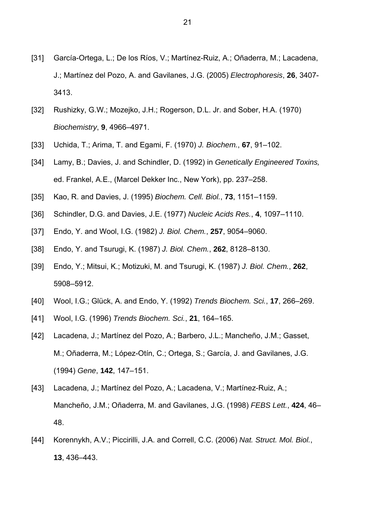- [31] García-Ortega, L.; De los Ríos, V.; Martínez-Ruiz, A.; Oñaderra, M.; Lacadena, J.; Martínez del Pozo, A. and Gavilanes, J.G. (2005) *Electrophoresis*, **26**, 3407- 3413.
- [32] Rushizky, G.W.; Mozejko, J.H.; Rogerson, D.L. Jr. and Sober, H.A. (1970) *Biochemistry*, **9**, 4966–4971.
- [33] Uchida, T.; Arima, T. and Egami, F. (1970) *J. Biochem.*, **67**, 91–102.
- [34] Lamy, B.; Davies, J. and Schindler, D. (1992) in *Genetically Engineered Toxins,* ed. Frankel, A.E., (Marcel Dekker Inc., New York), pp. 237–258.
- [35] Kao, R. and Davies, J. (1995) *Biochem. Cell. Biol.*, **73**, 1151–1159.
- [36] Schindler, D.G. and Davies, J.E. (1977) *Nucleic Acids Res.*, **4**, 1097–1110.
- [37] Endo, Y. and Wool, I.G. (1982) *J. Biol. Chem.*, **257**, 9054–9060.
- [38] Endo, Y. and Tsurugi, K. (1987) *J. Biol. Chem.*, **262**, 8128–8130.
- [39] Endo, Y.; Mitsui, K.; Motizuki, M. and Tsurugi, K. (1987) *J. Biol. Chem.*, **262**, 5908–5912.
- [40] Wool, I.G.; Glück, A. and Endo, Y. (1992) *Trends Biochem. Sci.*, **17**, 266–269.
- [41] Wool, I.G. (1996) *Trends Biochem. Sci.*, **21**, 164–165.
- [42] Lacadena, J.; Martínez del Pozo, A.; Barbero, J.L.; Mancheño, J.M.; Gasset, M.; Oñaderra, M.; López-Otín, C.; Ortega, S.; García, J. and Gavilanes, J.G. (1994) *Gene*, **142**, 147–151.
- [43] Lacadena, J.; Martínez del Pozo, A.; Lacadena, V.; Martínez-Ruiz, A.; Mancheño, J.M.; Oñaderra, M. and Gavilanes, J.G. (1998) *FEBS Lett.*, **424**, 46– 48.
- [44] Korennykh, A.V.; Piccirilli, J.A. and Correll, C.C. (2006) *Nat. Struct. Mol. Biol.*, **13**, 436–443.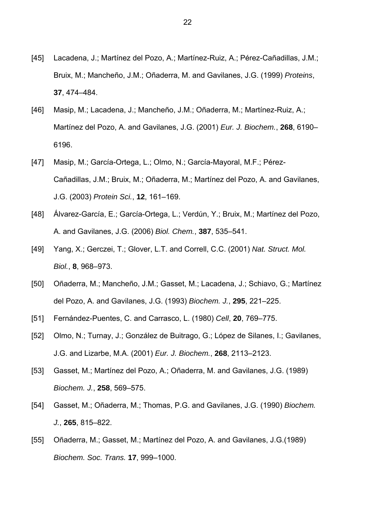- [45] Lacadena, J.; Martínez del Pozo, A.; Martínez-Ruiz, A.; Pérez-Cañadillas, J.M.; Bruix, M.; Mancheño, J.M.; Oñaderra, M. and Gavilanes, J.G. (1999) *Proteins*, **37**, 474–484.
- [46] Masip, M.; Lacadena, J.; Mancheño, J.M.; Oñaderra, M.; Martínez-Ruiz, A.; Martínez del Pozo, A. and Gavilanes, J.G. (2001) *Eur. J. Biochem.*, **268**, 6190– 6196.
- [47] Masip, M.; García-Ortega, L.; Olmo, N.; García-Mayoral, M.F.; Pérez-Cañadillas, J.M.; Bruix, M.; Oñaderra, M.; Martínez del Pozo, A. and Gavilanes, J.G. (2003) *Protein Sci.*, **12**, 161–169.
- [48] Álvarez-García, E.; García-Ortega, L.; Verdún, Y.; Bruix, M.; Martínez del Pozo, A. and Gavilanes, J.G. (2006) *Biol. Chem.*, **387**, 535–541.
- [49] Yang, X.; Gerczei, T.; Glover, L.T. and Correll, C.C. (2001) *Nat. Struct. Mol. Biol.*, **8**, 968–973.
- [50] Oñaderra, M.; Mancheño, J.M.; Gasset, M.; Lacadena, J.; Schiavo, G.; Martínez del Pozo, A. and Gavilanes, J.G. (1993) *Biochem. J.*, **295**, 221–225.
- [51] Fernández-Puentes, C. and Carrasco, L. (1980) *Cell*, **20**, 769–775.
- [52] Olmo, N.; Turnay, J.; González de Buitrago, G.; López de Silanes, I.; Gavilanes, J.G. and Lizarbe, M.A. (2001) *Eur. J. Biochem.*, **268**, 2113–2123.
- [53] Gasset, M.; Martínez del Pozo, A.; Oñaderra, M. and Gavilanes, J.G. (1989) *Biochem. J.*, **258**, 569–575.
- [54] Gasset, M.; Oñaderra, M.; Thomas, P.G. and Gavilanes, J.G. (1990) *Biochem. J.*, **265**, 815–822.
- [55] Oñaderra, M.; Gasset, M.; Martínez del Pozo, A. and Gavilanes, J.G.(1989) *Biochem. Soc. Trans.* **17**, 999–1000.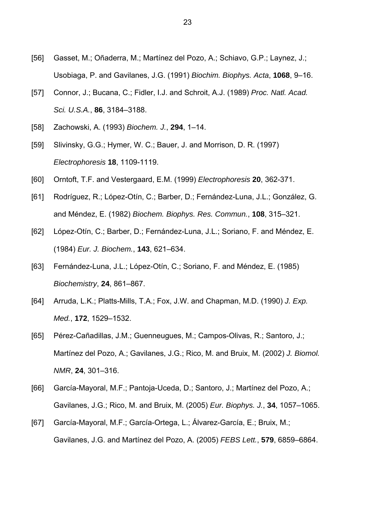- [56] Gasset, M.; Oñaderra, M.; Martínez del Pozo, A.; Schiavo, G.P.; Laynez, J.; Usobiaga, P. and Gavilanes, J.G. (1991) *Biochim. Biophys. Acta*, **1068**, 9–16.
- [57] Connor, J.; Bucana, C.; Fidler, I.J. and Schroit, A.J. (1989) *Proc. Natl. Acad. Sci. U.S.A.*, **86**, 3184–3188.
- [58] Zachowski, A. (1993) *Biochem. J.*, **294**, 1–14.
- [59] Slivinsky, G.G.; Hymer, W. C.; Bauer, J. and Morrison, D. R. (1997) *Electrophoresis* **18**, 1109-1119.
- [60] Orntoft, T.F. and Vestergaard, E.M. (1999) *Electrophoresis* **20**, 362-371.
- [61] Rodríguez, R.; López-Otín, C.; Barber, D.; Fernández-Luna, J.L.; González, G. and Méndez, E. (1982) *Biochem. Biophys. Res. Commun.*, **108**, 315–321.
- [62] López-Otín, C.; Barber, D.; Fernández-Luna, J.L.; Soriano, F. and Méndez, E. (1984) *Eur. J. Biochem.*, **143**, 621–634.
- [63] Fernández-Luna, J.L.; López-Otín, C.; Soriano, F. and Méndez, E. (1985) *Biochemistry*, **24**, 861–867.
- [64] Arruda, L.K.; Platts-Mills, T.A.; Fox, J.W. and Chapman, M.D. (1990) *J. Exp. Med.*, **172**, 1529–1532.
- [65] Pérez-Cañadillas, J.M.; Guenneugues, M.; Campos-Olivas, R.; Santoro, J.; Martínez del Pozo, A.; Gavilanes, J.G.; Rico, M. and Bruix, M. (2002) *J. Biomol. NMR*, **24**, 301–316.
- [66] García-Mayoral, M.F.; Pantoja-Uceda, D.; Santoro, J.; Martínez del Pozo, A.; Gavilanes, J.G.; Rico, M. and Bruix, M. (2005) *Eur. Biophys. J.*, **34**, 1057–1065.
- [67] García-Mayoral, M.F.; García-Ortega, L.; Álvarez-García, E.; Bruix, M.; Gavilanes, J.G. and Martínez del Pozo, A. (2005) *FEBS Lett.*, **579**, 6859–6864.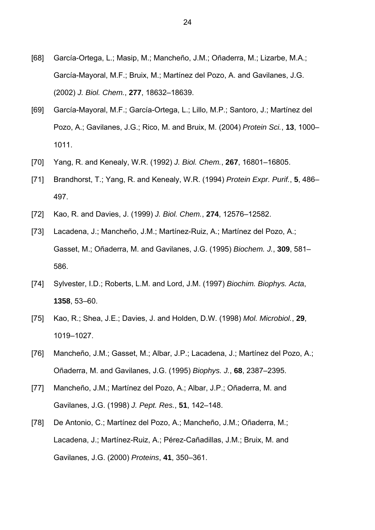- [68] García-Ortega, L.; Masip, M.; Mancheño, J.M.; Oñaderra, M.; Lizarbe, M.A.; García-Mayoral, M.F.; Bruix, M.; Martínez del Pozo, A. and Gavilanes, J.G. (2002) *J. Biol. Chem.*, **277**, 18632–18639.
- [69] García-Mayoral, M.F.; García-Ortega, L.; Lillo, M.P.; Santoro, J.; Martínez del Pozo, A.; Gavilanes, J.G.; Rico, M. and Bruix, M. (2004) *Protein Sci.*, **13**, 1000– 1011.
- [70] Yang, R. and Kenealy, W.R. (1992) *J. Biol. Chem.*, **267**, 16801–16805.
- [71] Brandhorst, T.; Yang, R. and Kenealy, W.R. (1994) *Protein Expr. Purif.*, **5**, 486– 497.
- [72] Kao, R. and Davies, J. (1999) *J. Biol. Chem.*, **274**, 12576–12582.
- [73] Lacadena, J.; Mancheño, J.M.; Martínez-Ruiz, A.; Martínez del Pozo, A.; Gasset, M.; Oñaderra, M. and Gavilanes, J.G. (1995) *Biochem. J.*, **309**, 581– 586.
- [74] Sylvester, I.D.; Roberts, L.M. and Lord, J.M. (1997) *Biochim. Biophys. Acta*, **1358**, 53–60.
- [75] Kao, R.; Shea, J.E.; Davies, J. and Holden, D.W. (1998) *Mol. Microbiol.*, **29**, 1019–1027.
- [76] Mancheño, J.M.; Gasset, M.; Albar, J.P.; Lacadena, J.; Martínez del Pozo, A.; Oñaderra, M. and Gavilanes, J.G. (1995) *Biophys. J.*, **68**, 2387–2395.
- [77] Mancheño, J.M.; Martínez del Pozo, A.; Albar, J.P.; Oñaderra, M. and Gavilanes, J.G. (1998) *J. Pept. Res.*, **51**, 142–148.
- [78] De Antonio, C.; Martínez del Pozo, A.; Mancheño, J.M.; Oñaderra, M.; Lacadena, J.; Martínez-Ruiz, A.; Pérez-Cañadillas, J.M.; Bruix, M. and Gavilanes, J.G. (2000) *Proteins*, **41**, 350–361.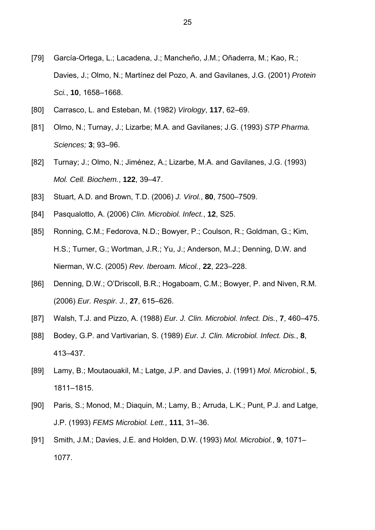- [79] García-Ortega, L.; Lacadena, J.; Mancheño, J.M.; Oñaderra, M.; Kao, R.; Davies, J.; Olmo, N.; Martínez del Pozo, A. and Gavilanes, J.G. (2001) *Protein Sci.*, **10**, 1658–1668.
- [80] Carrasco, L. and Esteban, M. (1982) *Virology*, **117**, 62–69.
- [81] Olmo, N.; Turnay, J.; Lizarbe; M.A. and Gavilanes; J.G. (1993) *STP Pharma. Sciences;* **3**; 93–96.
- [82] Turnay; J.; Olmo, N.; Jiménez, A.; Lizarbe, M.A. and Gavilanes, J.G. (1993) *Mol. Cell. Biochem.*, **122**, 39–47.
- [83] Stuart, A.D. and Brown, T.D. (2006) *J. Virol.*, **80**, 7500–7509.
- [84] Pasqualotto, A. (2006) *Clin. Microbiol. Infect.*, **12**, S25.
- [85] Ronning, C.M.; Fedorova, N.D.; Bowyer, P.; Coulson, R.; Goldman, G.; Kim, H.S.; Turner, G.; Wortman, J.R.; Yu, J.; Anderson, M.J.; Denning, D.W. and Nierman, W.C. (2005) *Rev. Iberoam. Micol.*, **22**, 223–228.
- [86] Denning, D.W.; O'Driscoll, B.R.; Hogaboam, C.M.; Bowyer, P. and Niven, R.M. (2006) *Eur. Respir. J.*, **27**, 615–626.
- [87] Walsh, T.J. and Pizzo, A. (1988) *Eur. J. Clin. Microbiol. Infect. Dis.*, **7**, 460–475.
- [88] Bodey, G.P. and Vartivarian, S. (1989) *Eur. J. Clin. Microbiol. Infect. Dis.*, **8**, 413–437.
- [89] Lamy, B.; Moutaouakil, M.; Latge, J.P. and Davies, J. (1991) *Mol. Microbiol.*, **5**, 1811–1815.
- [90] Paris, S.; Monod, M.; Diaquin, M.; Lamy, B.; Arruda, L.K.; Punt, P.J. and Latge, J.P. (1993) *FEMS Microbiol. Lett.*, **111**, 31–36.
- [91] Smith, J.M.; Davies, J.E. and Holden, D.W. (1993) *Mol. Microbiol.*, **9**, 1071– 1077.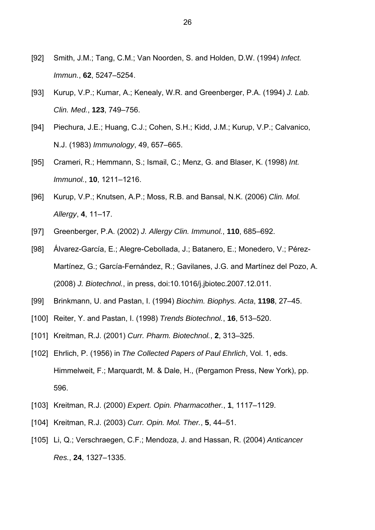- [92] Smith, J.M.; Tang, C.M.; Van Noorden, S. and Holden, D.W. (1994) *Infect. Immun.*, **62**, 5247–5254.
- [93] Kurup, V.P.; Kumar, A.; Kenealy, W.R. and Greenberger, P.A. (1994) *J. Lab. Clin. Med.*, **123**, 749–756.
- [94] Piechura, J.E.; Huang, C.J.; Cohen, S.H.; Kidd, J.M.; Kurup, V.P.; Calvanico, N.J. (1983) *Immunology*, 49, 657–665.
- [95] Crameri, R.; Hemmann, S.; Ismail, C.; Menz, G. and Blaser, K. (1998) *Int. Immunol.*, **10**, 1211–1216.
- [96] Kurup, V.P.; Knutsen, A.P.; Moss, R.B. and Bansal, N.K. (2006) *Clin. Mol. Allergy*, **4**, 11–17.
- [97] Greenberger, P.A. (2002) *J. Allergy Clin. Immunol.*, **110**, 685–692.
- [98] Álvarez-García, E.; Alegre-Cebollada, J.; Batanero, E.; Monedero, V.; Pérez-Martínez, G.; García-Fernández, R.; Gavilanes, J.G. and Martínez del Pozo, A. (2008) *J. Biotechnol.*, in press, doi:10.1016/j.jbiotec.2007.12.011.
- [99] Brinkmann, U. and Pastan, I. (1994) *Biochim. Biophys. Acta*, **1198**, 27–45.
- [100] Reiter, Y. and Pastan, I. (1998) *Trends Biotechnol.*, **16**, 513–520.
- [101] Kreitman, R.J. (2001) *Curr. Pharm. Biotechnol.*, **2**, 313–325.
- [102] Ehrlich, P. (1956) in *The Collected Papers of Paul Ehrlich*, Vol. 1, eds. Himmelweit, F.; Marquardt, M. & Dale, H., (Pergamon Press, New York), pp. 596.
- [103] Kreitman, R.J. (2000) *Expert. Opin. Pharmacother.*, **1**, 1117–1129.
- [104] Kreitman, R.J. (2003) *Curr. Opin. Mol. Ther.*, **5**, 44–51.
- [105] Li, Q.; Verschraegen, C.F.; Mendoza, J. and Hassan, R. (2004) *Anticancer Res.*, **24**, 1327–1335.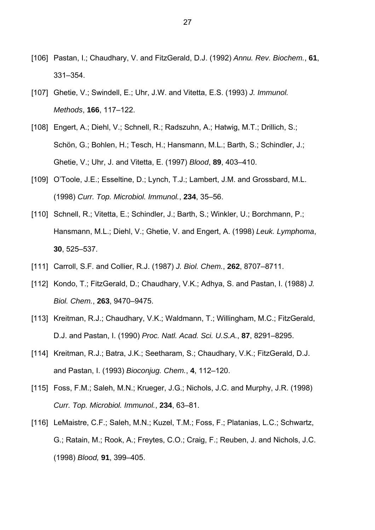- [106] Pastan, I.; Chaudhary, V. and FitzGerald, D.J. (1992) *Annu. Rev. Biochem.*, **61**, 331–354.
- [107] Ghetie, V.; Swindell, E.; Uhr, J.W. and Vitetta, E.S. (1993) *J. Immunol. Methods*, **166**, 117–122.
- [108] Engert, A.; Diehl, V.; Schnell, R.; Radszuhn, A.; Hatwig, M.T.; Drillich, S.; Schön, G.; Bohlen, H.; Tesch, H.; Hansmann, M.L.; Barth, S.; Schindler, J.; Ghetie, V.; Uhr, J. and Vitetta, E. (1997) *Blood*, **89**, 403–410.
- [109] O'Toole, J.E.; Esseltine, D.; Lynch, T.J.; Lambert, J.M. and Grossbard, M.L. (1998) *Curr. Top. Microbiol. Immunol.*, **234**, 35–56.
- [110] Schnell, R.; Vitetta, E.; Schindler, J.; Barth, S.; Winkler, U.; Borchmann, P.; Hansmann, M.L.; Diehl, V.; Ghetie, V. and Engert, A. (1998) *Leuk. Lymphoma*, **30**, 525–537.
- [111] Carroll, S.F. and Collier, R.J. (1987) *J. Biol. Chem.*, **262**, 8707–8711.
- [112] Kondo, T.; FitzGerald, D.; Chaudhary, V.K.; Adhya, S. and Pastan, I. (1988) *J. Biol. Chem.*, **263**, 9470–9475.
- [113] Kreitman, R.J.; Chaudhary, V.K.; Waldmann, T.; Willingham, M.C.; FitzGerald, D.J. and Pastan, I. (1990) *Proc. Natl. Acad. Sci. U.S.A.*, **87**, 8291–8295.
- [114] Kreitman, R.J.; Batra, J.K.; Seetharam, S.; Chaudhary, V.K.; FitzGerald, D.J. and Pastan, I. (1993) *Bioconjug. Chem.*, **4**, 112–120.
- [115] Foss, F.M.; Saleh, M.N.; Krueger, J.G.; Nichols, J.C. and Murphy, J.R. (1998) *Curr. Top. Microbiol. Immunol.*, **234**, 63–81.
- [116] LeMaistre, C.F.; Saleh, M.N.; Kuzel, T.M.; Foss, F.; Platanias, L.C.; Schwartz, G.; Ratain, M.; Rook, A.; Freytes, C.O.; Craig, F.; Reuben, J. and Nichols, J.C. (1998) *Blood,* **91**, 399–405.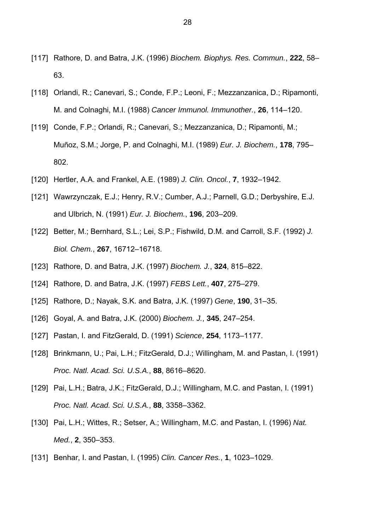- [117] Rathore, D. and Batra, J.K. (1996) *Biochem. Biophys. Res. Commun.*, **222**, 58– 63.
- [118] Orlandi, R.; Canevari, S.; Conde, F.P.; Leoni, F.; Mezzanzanica, D.; Ripamonti, M. and Colnaghi, M.I. (1988) *Cancer Immunol. Immunother.*, **26**, 114–120.
- [119] Conde, F.P.; Orlandi, R.; Canevari, S.; Mezzanzanica, D.; Ripamonti, M.; Muñoz, S.M.; Jorge, P. and Colnaghi, M.I. (1989) *Eur. J. Biochem.*, **178**, 795– 802.
- [120] Hertler, A.A. and Frankel, A.E. (1989) *J. Clin. Oncol.*, **7**, 1932–1942.
- [121] Wawrzynczak, E.J.; Henry, R.V.; Cumber, A.J.; Parnell, G.D.; Derbyshire, E.J. and Ulbrich, N. (1991) *Eur. J. Biochem.*, **196**, 203–209.
- [122] Better, M.; Bernhard, S.L.; Lei, S.P.; Fishwild, D.M. and Carroll, S.F. (1992) *J. Biol. Chem.*, **267**, 16712–16718.
- [123] Rathore, D. and Batra, J.K. (1997) *Biochem. J.*, **324**, 815–822.
- [124] Rathore, D. and Batra, J.K. (1997) *FEBS Lett.*, **407**, 275–279.
- [125] Rathore, D.; Nayak, S.K. and Batra, J.K. (1997) *Gene*, **190**, 31–35.
- [126] Goyal, A. and Batra, J.K. (2000) *Biochem. J.*, **345**, 247–254.
- [127] Pastan, I. and FitzGerald, D. (1991) *Science*, **254**, 1173–1177.
- [128] Brinkmann, U.; Pai, L.H.; FitzGerald, D.J.; Willingham, M. and Pastan, I. (1991) *Proc. Natl. Acad. Sci. U.S.A.*, **88**, 8616–8620.
- [129] Pai, L.H.; Batra, J.K.; FitzGerald, D.J.; Willingham, M.C. and Pastan, I. (1991) *Proc. Natl. Acad. Sci. U.S.A.*, **88**, 3358–3362.
- [130] Pai, L.H.; Wittes, R.; Setser, A.; Willingham, M.C. and Pastan, I. (1996) *Nat. Med.*, **2**, 350–353.
- [131] Benhar, I. and Pastan, I. (1995) *Clin. Cancer Res.*, **1**, 1023–1029.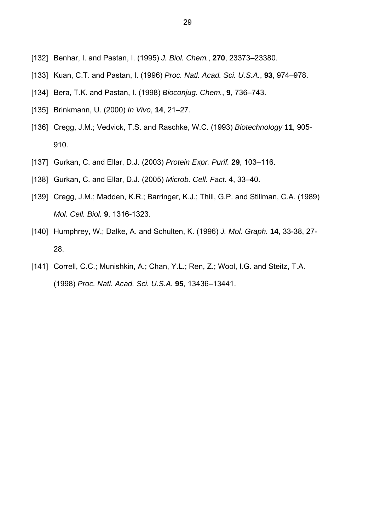- [132] Benhar, I. and Pastan, I. (1995) *J. Biol. Chem.*, **270**, 23373–23380.
- [133] Kuan, C.T. and Pastan, I. (1996) *Proc. Natl. Acad. Sci. U.S.A.*, **93**, 974–978.
- [134] Bera, T.K. and Pastan, I. (1998) *Bioconjug. Chem.*, **9**, 736–743.
- [135] Brinkmann, U. (2000) *In Vivo*, **14**, 21–27.
- [136] Cregg, J.M.; Vedvick, T.S. and Raschke, W.C. (1993) *Biotechnology* **11**, 905- 910.
- [137] Gurkan, C. and Ellar, D.J. (2003) *Protein Expr. Purif.* **29**, 103–116.
- [138] Gurkan, C. and Ellar, D.J. (2005) *Microb. Cell. Fact.* 4, 33–40.
- [139] Cregg, J.M.; Madden, K.R.; Barringer, K.J.; Thill, G.P. and Stillman, C.A. (1989) *Mol. Cell. Biol.* **9**, 1316-1323.
- [140] Humphrey, W.; Dalke, A. and Schulten, K. (1996) *J. Mol. Graph.* **14**, 33-38, 27- 28.
- [141] Correll, C.C.; Munishkin, A.; Chan, Y.L.; Ren, Z.; Wool, I.G. and Steitz, T.A. (1998) *Proc. Natl. Acad. Sci. U.S.A.* **95**, 13436–13441.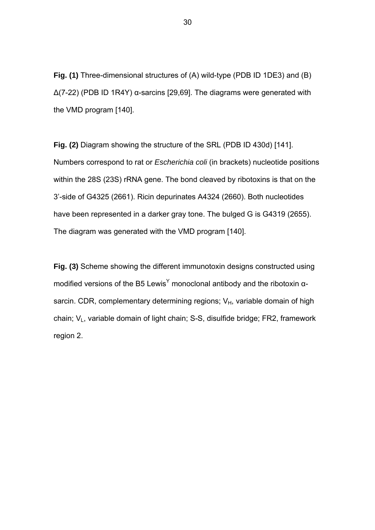**Fig. (1)** Three-dimensional structures of (A) wild-type (PDB ID 1DE3) and (B)  $Δ(7-22)$  (PDB ID 1R4Y)  $α$ -sarcins [29,69]. The diagrams were generated with the VMD program [140].

**Fig. (2)** Diagram showing the structure of the SRL (PDB ID 430d) [141]. Numbers correspond to rat or *Escherichia coli* (in brackets) nucleotide positions within the 28S (23S) rRNA gene. The bond cleaved by ribotoxins is that on the 3'-side of G4325 (2661). Ricin depurinates A4324 (2660). Both nucleotides have been represented in a darker gray tone. The bulged G is G4319 (2655). The diagram was generated with the VMD program [140].

**Fig. (3)** Scheme showing the different immunotoxin designs constructed using modified versions of the B5 Lewis<sup>Y</sup> monoclonal antibody and the ribotoxin  $\alpha$ sarcin. CDR, complementary determining regions;  $V_H$ , variable domain of high chain;  $V_L$ , variable domain of light chain; S-S, disulfide bridge; FR2, framework region 2.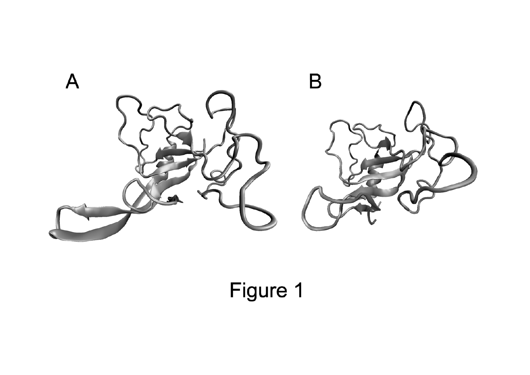

Figure 1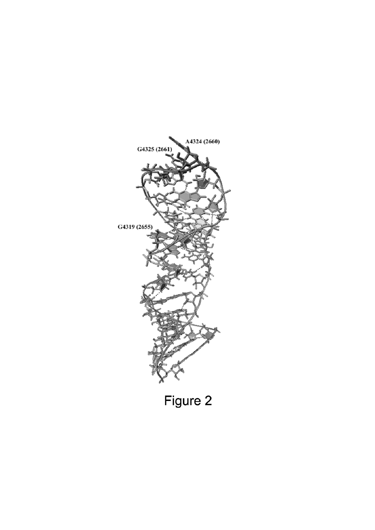

Figure 2